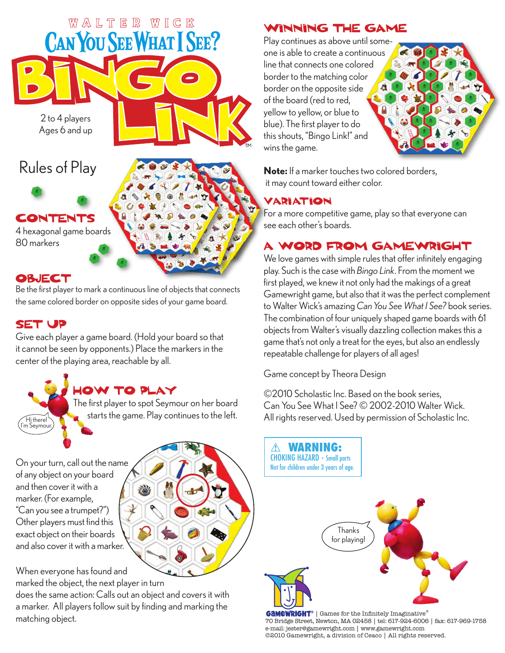

#### **OBJECT**

Be the first player to mark a continuous line of objects that connects the same colored border on opposite sides of your game board.

#### **SET UP**

Hi there! 'm Seymou

Give each player a game board. (Hold your board so that it cannot be seen by opponents.) Place the markers in the center of the playing area, reachable by all.

# **IOW TO PLAY**

The first player to spot Seymour on her board starts the game. Play continues to the left.

On your turn, call out the name of any object on your board and then cover it with a marker. (For example, "Can you see a trumpet?") Other players must find this exact object on their boards and also cover it with a marker.

When everyone has found and marked the object, the next player in turn

does the same action: Calls out an object and covers it with a marker. All players follow suit by finding and marking the matching object.

#### WINNING THE GAME

Play continues as above until someone is able to create a continuous line that connects one colored border to the matching color border on the opposite side of the board (red to red, yellow to yellow, or blue to blue). The first player to do this shouts, "Bingo Link!" and wins the game.



**Note:** If a marker touches two colored borders, it may count toward either color.

#### **VARIATION**

For a more competitive game, play so that everyone can see each other's boards.

## A WORD FROM GAMEWRIGHT

We love games with simple rules that offer infinitely engaging play. Such is the case with *Bingo Link*. From the moment we first played, we knew it not only had the makings of a great Gamewright game, but also that it was the perfect complement to Walter Wick's amazing *Can You See What I See?* book series. The combination of four uniquely shaped game boards with 61 objects from Walter's visually dazzling collection makes this a game that's not only a treat for the eyes, but also an endlessly repeatable challenge for players of all ages!

Game concept by Theora Design

©2010 Scholastic Inc. Based on the book series, Can You See What I See? © 2002-2010 Walter Wick. All rights reserved. Used by permission of Scholastic Inc.



**GAMEWRIGHT**® | Games for the Infinitely Imaginative® 70 Bridge Street, Newton, MA 02458 | tel: 617-924-6006 | fax: 617-969-1758 e-mail: jester@gamewright.com | www.gamewright.com ©2010 Gamewright, a division of Ceaco | All rights reserved.